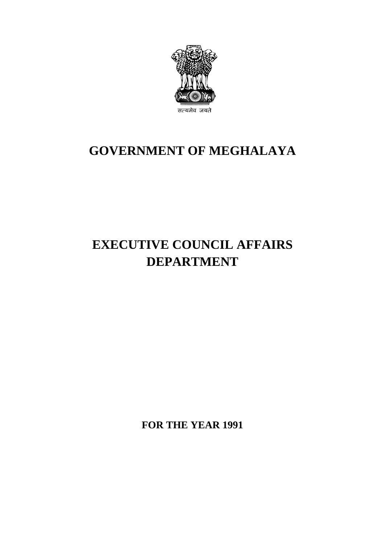

# **GOVERNMENT OF MEGHALAYA**

# **EXECUTIVE COUNCIL AFFAIRS DEPARTMENT**

**FOR THE YEAR 1991**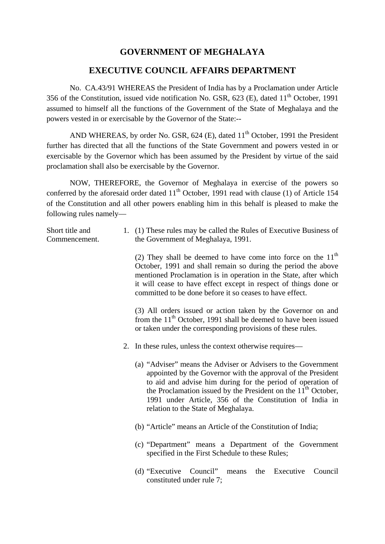## **GOVERNMENT OF MEGHALAYA**

### **EXECUTIVE COUNCIL AFFAIRS DEPARTMENT**

No. CA.43/91 WHEREAS the President of India has by a Proclamation under Article 356 of the Constitution, issued vide notification No. GSR, 623 (E), dated 11<sup>th</sup> October. 1991 assumed to himself all the functions of the Government of the State of Meghalaya and the powers vested in or exercisable by the Governor of the State:--

AND WHEREAS, by order No. GSR,  $624$  (E), dated  $11<sup>th</sup>$  October, 1991 the President further has directed that all the functions of the State Government and powers vested in or exercisable by the Governor which has been assumed by the President by virtue of the said proclamation shall also be exercisable by the Governor.

NOW, THEREFORE, the Governor of Meghalaya in exercise of the powers so conferred by the aforesaid order dated  $11<sup>th</sup>$  October, 1991 read with clause (1) of Article 154 of the Constitution and all other powers enabling him in this behalf is pleased to make the following rules namely—

| Short title and | 1. (1) These rules may be called the Rules of Executive Business of |
|-----------------|---------------------------------------------------------------------|
| Commencement.   | the Government of Meghalaya, 1991.                                  |

(2) They shall be deemed to have come into force on the  $11<sup>th</sup>$ October, 1991 and shall remain so during the period the above mentioned Proclamation is in operation in the State, after which it will cease to have effect except in respect of things done or committed to be done before it so ceases to have effect.

(3) All orders issued or action taken by the Governor on and from the  $11<sup>th</sup>$  October, 1991 shall be deemed to have been issued or taken under the corresponding provisions of these rules.

- 2. In these rules, unless the context otherwise requires—
	- (a) "Adviser" means the Adviser or Advisers to the Government appointed by the Governor with the approval of the President to aid and advise him during for the period of operation of the Proclamation issued by the President on the  $11<sup>th</sup>$  October, 1991 under Article, 356 of the Constitution of India in relation to the State of Meghalaya.
	- (b) "Article" means an Article of the Constitution of India;
	- (c) "Department" means a Department of the Government specified in the First Schedule to these Rules;
	- (d) "Executive Council" means the Executive Council constituted under rule 7;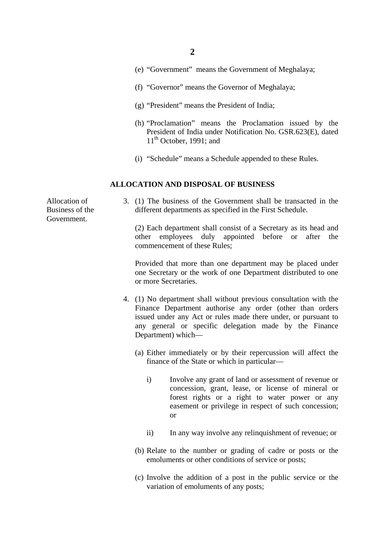- (e) "Government" means the Government of Meghalaya;
- (f) "Governor" means the Governor of Meghalaya;
- (g) "President" means the President of India;
- (h) "Proclamation" means the Proclamation issued by the President of India under Notification No. GSR.623(E), dated  $11<sup>th</sup>$  October, 1991; and
- (i) "Schedule" means a Schedule appended to these Rules.

#### **ALLOCATION AND DISPOSAL OF BUSINESS**

Allocation of Business of the Government.

3. (1) The business of the Government shall be transacted in the different departments as specified in the First Schedule.

(2) Each department shall consist of a Secretary as its head and other employees duly appointed before or after the commencement of these Rules;

Provided that more than one department may be placed under one Secretary or the work of one Department distributed to one or more Secretaries.

- 4. (1) No department shall without previous consultation with the Finance Department authorise any order (other than orders issued under any Act or rules made there under, or pursuant to any general or specific delegation made by the Finance Department) which—
	- (a) Either immediately or by their repercussion will affect the finance of the State or which in particular
		- i) Involve any grant of land or assessment of revenue or concession, grant, lease, or license of mineral or forest rights or a right to water power or any easement or privilege in respect of such concession; or
		- ii) In any way involve any relinquishment of revenue; or
	- (b) Relate to the number or grading of cadre or posts or the emoluments or other conditions of service or posts;
	- (c) Involve the addition of a post in the public service or the variation of emoluments of any posts;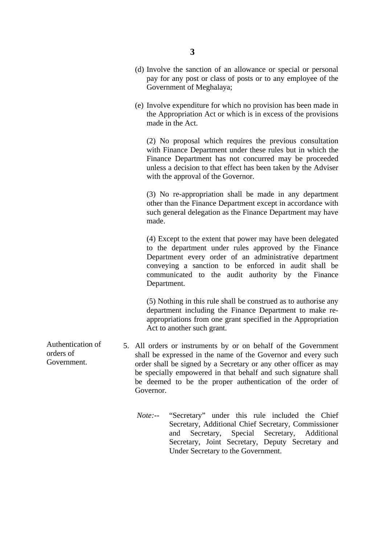- (d) Involve the sanction of an allowance or special or personal pay for any post or class of posts or to any employee of the Government of Meghalaya;
- (e) Involve expenditure for which no provision has been made in the Appropriation Act or which is in excess of the provisions made in the Act.

(2) No proposal which requires the previous consultation with Finance Department under these rules but in which the Finance Department has not concurred may be proceeded unless a decision to that effect has been taken by the Adviser with the approval of the Governor.

(3) No re-appropriation shall be made in any department other than the Finance Department except in accordance with such general delegation as the Finance Department may have made.

(4) Except to the extent that power may have been delegated to the department under rules approved by the Finance Department every order of an administrative department conveying a sanction to be enforced in audit shall be communicated to the audit authority by the Finance Department.

(5) Nothing in this rule shall be construed as to authorise any department including the Finance Department to make reappropriations from one grant specified in the Appropriation Act to another such grant.

- 5. All orders or instruments by or on behalf of the Government shall be expressed in the name of the Governor and every such order shall be signed by a Secretary or any other officer as may be specially empowered in that behalf and such signature shall be deemed to be the proper authentication of the order of Governor.
	- *Note:--* "Secretary" under this rule included the Chief Secretary, Additional Chief Secretary, Commissioner and Secretary, Special Secretary, Additional Secretary, Joint Secretary, Deputy Secretary and Under Secretary to the Government.

Authentication of orders of Government.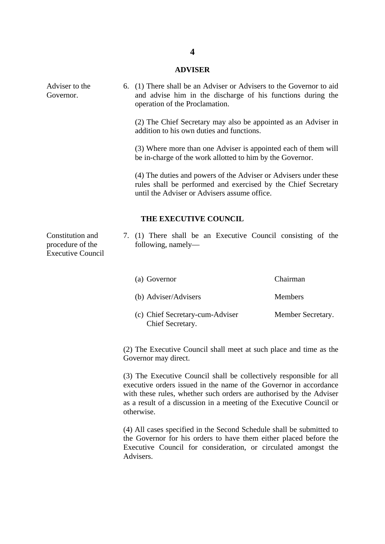#### **ADVISER**

6. (1) There shall be an Adviser or Advisers to the Governor to aid

and advise him in the discharge of his functions during the operation of the Proclamation. (2) The Chief Secretary may also be appointed as an Adviser in addition to his own duties and functions. (3) Where more than one Adviser is appointed each of them will be in-charge of the work allotted to him by the Governor. (4) The duties and powers of the Adviser or Advisers under these rules shall be performed and exercised by the Chief Secretary until the Adviser or Advisers assume office. **THE EXECUTIVE COUNCIL** Constitution and procedure of the Executive Council 7. (1) There shall be an Executive Council consisting of the following, namely—

| (a) Governor                                        | Chairman          |
|-----------------------------------------------------|-------------------|
| (b) Adviser/Advisers                                | <b>Members</b>    |
| (c) Chief Secretary-cum-Adviser<br>Chief Secretary. | Member Secretary. |

(2) The Executive Council shall meet at such place and time as the Governor may direct.

(3) The Executive Council shall be collectively responsible for all executive orders issued in the name of the Governor in accordance with these rules, whether such orders are authorised by the Adviser as a result of a discussion in a meeting of the Executive Council or otherwise.

(4) All cases specified in the Second Schedule shall be submitted to the Governor for his orders to have them either placed before the Executive Council for consideration, or circulated amongst the Advisers.

Adviser to the Governor.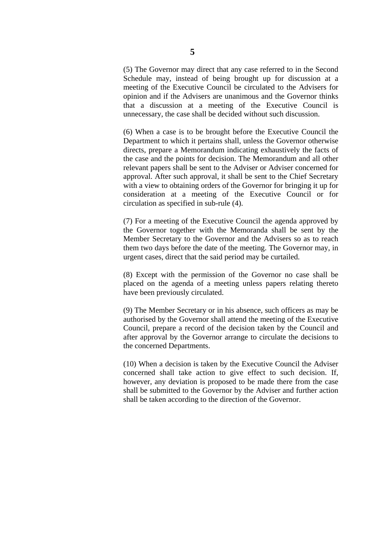(5) The Governor may direct that any case referred to in the Second Schedule may, instead of being brought up for discussion at a meeting of the Executive Council be circulated to the Advisers for opinion and if the Advisers are unanimous and the Governor thinks that a discussion at a meeting of the Executive Council is unnecessary, the case shall be decided without such discussion.

(6) When a case is to be brought before the Executive Council the Department to which it pertains shall, unless the Governor otherwise directs, prepare a Memorandum indicating exhaustively the facts of the case and the points for decision. The Memorandum and all other relevant papers shall be sent to the Adviser or Adviser concerned for approval. After such approval, it shall be sent to the Chief Secretary with a view to obtaining orders of the Governor for bringing it up for consideration at a meeting of the Executive Council or for circulation as specified in sub-rule (4).

(7) For a meeting of the Executive Council the agenda approved by the Governor together with the Memoranda shall be sent by the Member Secretary to the Governor and the Advisers so as to reach them two days before the date of the meeting. The Governor may, in urgent cases, direct that the said period may be curtailed.

(8) Except with the permission of the Governor no case shall be placed on the agenda of a meeting unless papers relating thereto have been previously circulated.

(9) The Member Secretary or in his absence, such officers as may be authorised by the Governor shall attend the meeting of the Executive Council, prepare a record of the decision taken by the Council and after approval by the Governor arrange to circulate the decisions to the concerned Departments.

(10) When a decision is taken by the Executive Council the Adviser concerned shall take action to give effect to such decision. If, however, any deviation is proposed to be made there from the case shall be submitted to the Governor by the Adviser and further action shall be taken according to the direction of the Governor.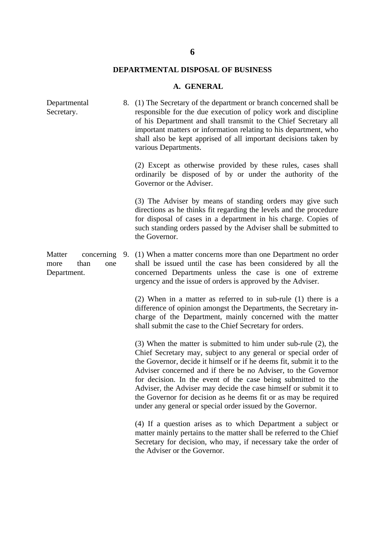# **DEPARTMENTAL DISPOSAL OF BUSINESS**

### **A. GENERAL**

| Departmental<br>Secretary.                                 |    | 8. (1) The Secretary of the department or branch concerned shall be<br>responsible for the due execution of policy work and discipline<br>of his Department and shall transmit to the Chief Secretary all<br>important matters or information relating to his department, who<br>shall also be kept apprised of all important decisions taken by<br>various Departments.                                                                                                                                                                          |
|------------------------------------------------------------|----|---------------------------------------------------------------------------------------------------------------------------------------------------------------------------------------------------------------------------------------------------------------------------------------------------------------------------------------------------------------------------------------------------------------------------------------------------------------------------------------------------------------------------------------------------|
|                                                            |    | (2) Except as otherwise provided by these rules, cases shall<br>ordinarily be disposed of by or under the authority of the<br>Governor or the Adviser.                                                                                                                                                                                                                                                                                                                                                                                            |
|                                                            |    | (3) The Adviser by means of standing orders may give such<br>directions as he thinks fit regarding the levels and the procedure<br>for disposal of cases in a department in his charge. Copies of<br>such standing orders passed by the Adviser shall be submitted to<br>the Governor.                                                                                                                                                                                                                                                            |
| Matter<br>concerning<br>than<br>one<br>more<br>Department. | 9. | (1) When a matter concerns more than one Department no order<br>shall be issued until the case has been considered by all the<br>concerned Departments unless the case is one of extreme<br>urgency and the issue of orders is approved by the Adviser.                                                                                                                                                                                                                                                                                           |
|                                                            |    | $(2)$ When in a matter as referred to in sub-rule $(1)$ there is a<br>difference of opinion amongst the Departments, the Secretary in-<br>charge of the Department, mainly concerned with the matter<br>shall submit the case to the Chief Secretary for orders.                                                                                                                                                                                                                                                                                  |
|                                                            |    | (3) When the matter is submitted to him under sub-rule (2), the<br>Chief Secretary may, subject to any general or special order of<br>the Governor, decide it himself or if he deems fit, submit it to the<br>Adviser concerned and if there be no Adviser, to the Governor<br>for decision. In the event of the case being submitted to the<br>Adviser, the Adviser may decide the case himself or submit it to<br>the Governor for decision as he deems fit or as may be required<br>under any general or special order issued by the Governor. |
|                                                            |    | (4) If a question arises as to which Department a subject or<br>matter mainly pertains to the matter shall be referred to the Chief<br>Secretary for decision, who may, if necessary take the order of<br>the Adviser or the Governor.                                                                                                                                                                                                                                                                                                            |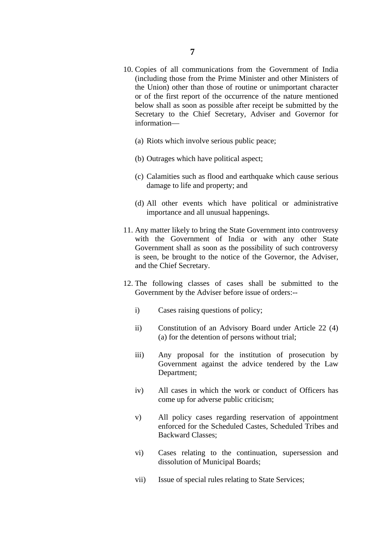- 10. Copies of all communications from the Government of India (including those from the Prime Minister and other Ministers of the Union) other than those of routine or unimportant character or of the first report of the occurrence of the nature mentioned below shall as soon as possible after receipt be submitted by the Secretary to the Chief Secretary, Adviser and Governor for information—
	- (a) Riots which involve serious public peace;
	- (b) Outrages which have political aspect;
	- (c) Calamities such as flood and earthquake which cause serious damage to life and property; and
	- (d) All other events which have political or administrative importance and all unusual happenings.
- 11. Any matter likely to bring the State Government into controversy with the Government of India or with any other State Government shall as soon as the possibility of such controversy is seen, be brought to the notice of the Governor, the Adviser, and the Chief Secretary.
- 12. The following classes of cases shall be submitted to the Government by the Adviser before issue of orders:-
	- i) Cases raising questions of policy;
	- ii) Constitution of an Advisory Board under Article 22 (4) (a) for the detention of persons without trial;
	- iii) Any proposal for the institution of prosecution by Government against the advice tendered by the Law Department;
	- iv) All cases in which the work or conduct of Officers has come up for adverse public criticism;
	- v) All policy cases regarding reservation of appointment enforced for the Scheduled Castes, Scheduled Tribes and Backward Classes;
	- vi) Cases relating to the continuation, supersession and dissolution of Municipal Boards;
	- vii) Issue of special rules relating to State Services;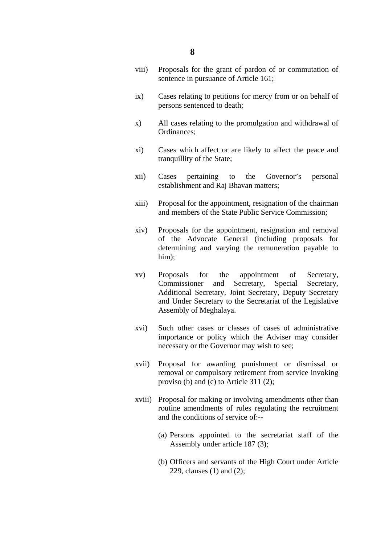- viii) Proposals for the grant of pardon of or commutation of sentence in pursuance of Article 161;
- ix) Cases relating to petitions for mercy from or on behalf of persons sentenced to death;
- x) All cases relating to the promulgation and withdrawal of Ordinances;
- xi) Cases which affect or are likely to affect the peace and tranquillity of the State;
- xii) Cases pertaining to the Governor's personal establishment and Raj Bhavan matters;
- xiii) Proposal for the appointment, resignation of the chairman and members of the State Public Service Commission;
- xiv) Proposals for the appointment, resignation and removal of the Advocate General (including proposals for determining and varying the remuneration payable to him);
- xv) Proposals for the appointment of Secretary, Commissioner and Secretary, Special Secretary, Additional Secretary, Joint Secretary, Deputy Secretary and Under Secretary to the Secretariat of the Legislative Assembly of Meghalaya.
- xvi) Such other cases or classes of cases of administrative importance or policy which the Adviser may consider necessary or the Governor may wish to see;
- xvii) Proposal for awarding punishment or dismissal or removal or compulsory retirement from service invoking proviso (b) and (c) to Article 311 (2);
- xviii) Proposal for making or involving amendments other than routine amendments of rules regulating the recruitment and the conditions of service of:--
	- (a) Persons appointed to the secretariat staff of the Assembly under article 187 (3);
	- (b) Officers and servants of the High Court under Article 229, clauses (1) and (2);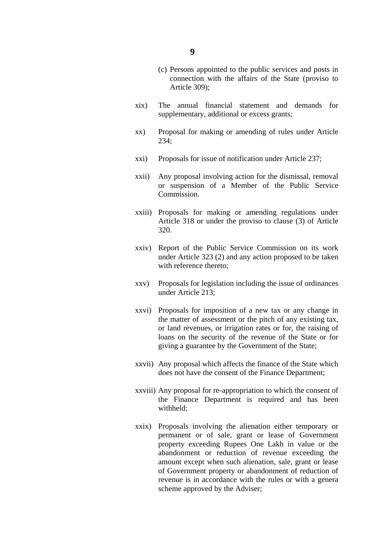- xix) The annual financial statement and demands for supplementary, additional or excess grants;
- xx) Proposal for making or amending of rules under Article 234;
- xxi) Proposals for issue of notification under Article 237;
- xxii) Any proposal involving action for the dismissal, removal or suspension of a Member of the Public Service Commission.
- xxiii) Proposals for making or amending regulations under Article 318 or under the proviso to clause (3) of Article 320.
- xxiv) Report of the Public Service Commission on its work under Article 323 (2) and any action proposed to be taken with reference thereto;
- xxv) Proposals for legislation including the issue of ordinances under Article 213;
- xxvi) Proposals for imposition of a new tax or any change in the matter of assessment or the pitch of any existing tax, or land revenues, or irrigation rates or for, the raising of loans on the security of the revenue of the State or for giving a guarantee by the Government of the State;
- xxvii) Any proposal which affects the finance of the State which does not have the consent of the Finance Department;
- xxviii) Any proposal for re-appropriation to which the consent of the Finance Department is required and has been withheld;
- xxix) Proposals involving the alienation either temporary or permanent or of sale, grant or lease of Government property exceeding Rupees One Lakh in value or the abandonment or reduction of revenue exceeding the amount except when such alienation, sale, grant or lease of Government property or abandonment of reduction of revenue is in accordance with the rules or with a genera scheme approved by the Adviser;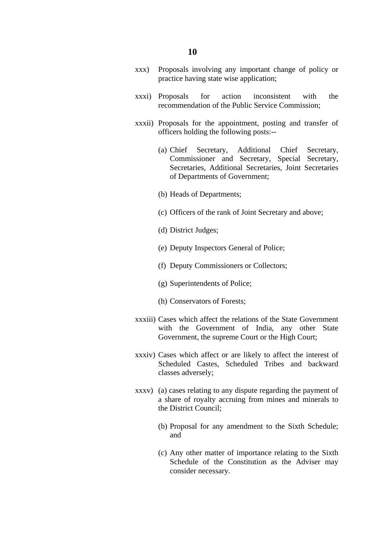- xxx) Proposals involving any important change of policy or practice having state wise application;
- xxxi) Proposals for action inconsistent with the recommendation of the Public Service Commission;
- xxxii) Proposals for the appointment, posting and transfer of officers holding the following posts:--
	- (a) Chief Secretary, Additional Chief Secretary, Commissioner and Secretary, Special Secretary, Secretaries, Additional Secretaries, Joint Secretaries of Departments of Government;
	- (b) Heads of Departments;
	- (c) Officers of the rank of Joint Secretary and above;
	- (d) District Judges;
	- (e) Deputy Inspectors General of Police;
	- (f) Deputy Commissioners or Collectors;
	- (g) Superintendents of Police;
	- (h) Conservators of Forests;
- xxxiii) Cases which affect the relations of the State Government with the Government of India, any other State Government, the supreme Court or the High Court;
- xxxiv) Cases which affect or are likely to affect the interest of Scheduled Castes, Scheduled Tribes and backward classes adversely;
- xxxv) (a) cases relating to any dispute regarding the payment of a share of royalty accruing from mines and minerals to the District Council;
	- (b) Proposal for any amendment to the Sixth Schedule; and
	- (c) Any other matter of importance relating to the Sixth Schedule of the Constitution as the Adviser may consider necessary.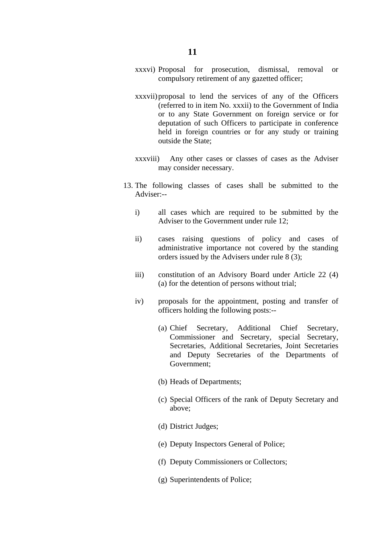- xxxvii)proposal to lend the services of any of the Officers (referred to in item No. xxxii) to the Government of India or to any State Government on foreign service or for deputation of such Officers to participate in conference held in foreign countries or for any study or training outside the State;
- xxxviii) Any other cases or classes of cases as the Adviser may consider necessary.
- 13. The following classes of cases shall be submitted to the Adviser:-
	- i) all cases which are required to be submitted by the Adviser to the Government under rule 12;
	- ii) cases raising questions of policy and cases of administrative importance not covered by the standing orders issued by the Advisers under rule 8 (3);
	- iii) constitution of an Advisory Board under Article 22 (4) (a) for the detention of persons without trial;
	- iv) proposals for the appointment, posting and transfer of officers holding the following posts:--
		- (a) Chief Secretary, Additional Chief Secretary, Commissioner and Secretary, special Secretary, Secretaries, Additional Secretaries, Joint Secretaries and Deputy Secretaries of the Departments of Government;
		- (b) Heads of Departments;
		- (c) Special Officers of the rank of Deputy Secretary and above;
		- (d) District Judges;
		- (e) Deputy Inspectors General of Police;
		- (f) Deputy Commissioners or Collectors;
		- (g) Superintendents of Police;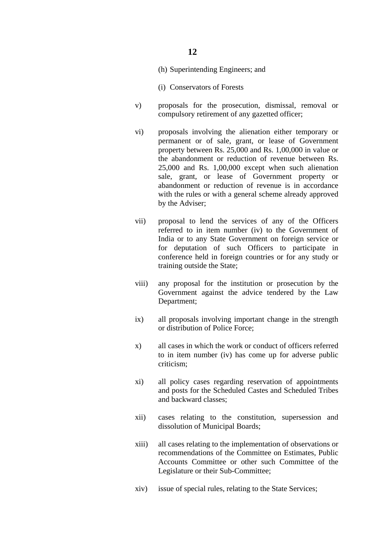- (h) Superintending Engineers; and
- (i) Conservators of Forests
- v) proposals for the prosecution, dismissal, removal or compulsory retirement of any gazetted officer;
- vi) proposals involving the alienation either temporary or permanent or of sale, grant, or lease of Government property between Rs. 25,000 and Rs. 1,00,000 in value or the abandonment or reduction of revenue between Rs. 25,000 and Rs. 1,00,000 except when such alienation sale, grant, or lease of Government property or abandonment or reduction of revenue is in accordance with the rules or with a general scheme already approved by the Adviser;
- vii) proposal to lend the services of any of the Officers referred to in item number (iv) to the Government of India or to any State Government on foreign service or for deputation of such Officers to participate in conference held in foreign countries or for any study or training outside the State;
- viii) any proposal for the institution or prosecution by the Government against the advice tendered by the Law Department;
- ix) all proposals involving important change in the strength or distribution of Police Force;
- x) all cases in which the work or conduct of officers referred to in item number (iv) has come up for adverse public criticism;
- xi) all policy cases regarding reservation of appointments and posts for the Scheduled Castes and Scheduled Tribes and backward classes;
- xii) cases relating to the constitution, supersession and dissolution of Municipal Boards;
- xiii) all cases relating to the implementation of observations or recommendations of the Committee on Estimates, Public Accounts Committee or other such Committee of the Legislature or their Sub-Committee;
- xiv) issue of special rules, relating to the State Services;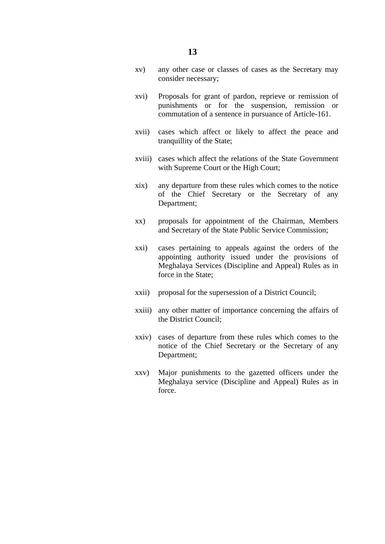- xv) any other case or classes of cases as the Secretary may consider necessary;
- xvi) Proposals for grant of pardon, reprieve or remission of punishments or for the suspension, remission or commutation of a sentence in pursuance of Article-161.
- xvii) cases which affect or likely to affect the peace and tranquillity of the State;
- xviii) cases which affect the relations of the State Government with Supreme Court or the High Court;
- xix) any departure from these rules which comes to the notice of the Chief Secretary or the Secretary of any Department;
- xx) proposals for appointment of the Chairman, Members and Secretary of the State Public Service Commission;
- xxi) cases pertaining to appeals against the orders of the appointing authority issued under the provisions of Meghalaya Services (Discipline and Appeal) Rules as in force in the State;
- xxii) proposal for the supersession of a District Council;
- xxiii) any other matter of importance concerning the affairs of the District Council;
- xxiv) cases of departure from these rules which comes to the notice of the Chief Secretary or the Secretary of any Department;
- xxv) Major punishments to the gazetted officers under the Meghalaya service (Discipline and Appeal) Rules as in force.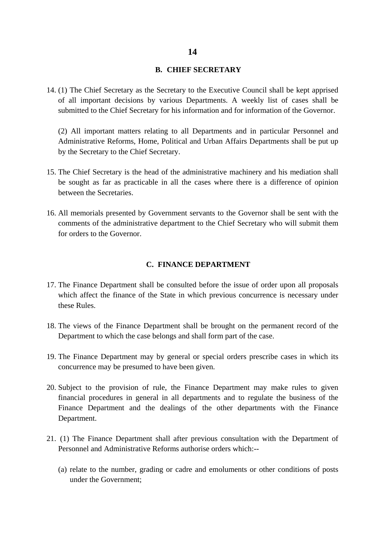#### **B. CHIEF SECRETARY**

14. (1) The Chief Secretary as the Secretary to the Executive Council shall be kept apprised of all important decisions by various Departments. A weekly list of cases shall be submitted to the Chief Secretary for his information and for information of the Governor.

(2) All important matters relating to all Departments and in particular Personnel and Administrative Reforms, Home, Political and Urban Affairs Departments shall be put up by the Secretary to the Chief Secretary.

- 15. The Chief Secretary is the head of the administrative machinery and his mediation shall be sought as far as practicable in all the cases where there is a difference of opinion between the Secretaries.
- 16. All memorials presented by Government servants to the Governor shall be sent with the comments of the administrative department to the Chief Secretary who will submit them for orders to the Governor.

#### **C. FINANCE DEPARTMENT**

- 17. The Finance Department shall be consulted before the issue of order upon all proposals which affect the finance of the State in which previous concurrence is necessary under these Rules.
- 18. The views of the Finance Department shall be brought on the permanent record of the Department to which the case belongs and shall form part of the case.
- 19. The Finance Department may by general or special orders prescribe cases in which its concurrence may be presumed to have been given.
- 20. Subject to the provision of rule, the Finance Department may make rules to given financial procedures in general in all departments and to regulate the business of the Finance Department and the dealings of the other departments with the Finance Department.
- 21. (1) The Finance Department shall after previous consultation with the Department of Personnel and Administrative Reforms authorise orders which:--
	- (a) relate to the number, grading or cadre and emoluments or other conditions of posts under the Government;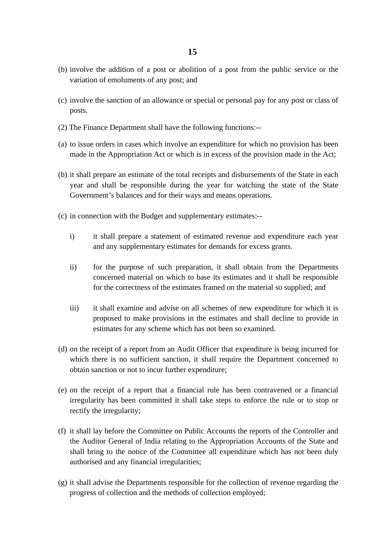- (b) involve the addition of a post or abolition of a post from the public service or the variation of emoluments of any post; and
- (c) involve the sanction of an allowance or special or personal pay for any post or class of posts.
- (2) The Finance Department shall have the following functions:--
- (a) to issue orders in cases which involve an expenditure for which no provision has been made in the Appropriation Act or which is in excess of the provision made in the Act;
- (b) it shall prepare an estimate of the total receipts and disbursements of the State in each year and shall be responsible during the year for watching the state of the State Government's balances and for their ways and means operations.
- (c) in connection with the Budget and supplementary estimates:-
	- i) it shall prepare a statement of estimated revenue and expenditure each year and any supplementary estimates for demands for excess grants.
	- ii) for the purpose of such preparation, it shall obtain from the Departments concerned material on which to base its estimates and it shall be responsible for the correctness of the estimates framed on the material so supplied; and
	- iii) it shall examine and advise on all schemes of new expenditure for which it is proposed to make provisions in the estimates and shall decline to provide in estimates for any scheme which has not been so examined.
- (d) on the receipt of a report from an Audit Officer that expenditure is being incurred for which there is no sufficient sanction, it shall require the Department concerned to obtain sanction or not to incur further expenditure;
- (e) on the receipt of a report that a financial rule has been contravened or a financial irregularity has been committed it shall take steps to enforce the rule or to stop or rectify the irregularity;
- (f) it shall lay before the Committee on Public Accounts the reports of the Controller and the Auditor General of India relating to the Appropriation Accounts of the State and shall bring to the notice of the Committee all expenditure which has not been duly authorised and any financial irregularities;
- (g) it shall advise the Departments responsible for the collection of revenue regarding the progress of collection and the methods of collection employed;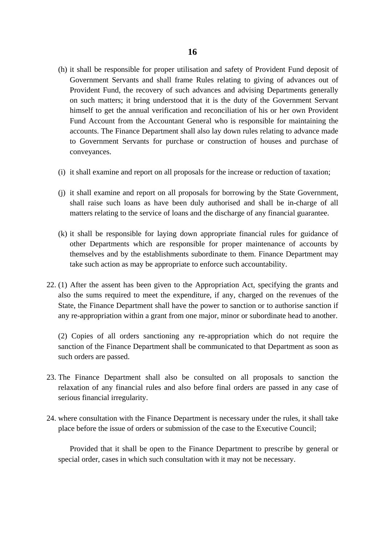- (h) it shall be responsible for proper utilisation and safety of Provident Fund deposit of Government Servants and shall frame Rules relating to giving of advances out of Provident Fund, the recovery of such advances and advising Departments generally on such matters; it bring understood that it is the duty of the Government Servant himself to get the annual verification and reconciliation of his or her own Provident Fund Account from the Accountant General who is responsible for maintaining the accounts. The Finance Department shall also lay down rules relating to advance made to Government Servants for purchase or construction of houses and purchase of conveyances.
- (i) it shall examine and report on all proposals for the increase or reduction of taxation;
- (j) it shall examine and report on all proposals for borrowing by the State Government, shall raise such loans as have been duly authorised and shall be in-charge of all matters relating to the service of loans and the discharge of any financial guarantee.
- (k) it shall be responsible for laying down appropriate financial rules for guidance of other Departments which are responsible for proper maintenance of accounts by themselves and by the establishments subordinate to them. Finance Department may take such action as may be appropriate to enforce such accountability.
- 22. (1) After the assent has been given to the Appropriation Act, specifying the grants and also the sums required to meet the expenditure, if any, charged on the revenues of the State, the Finance Department shall have the power to sanction or to authorise sanction if any re-appropriation within a grant from one major, minor or subordinate head to another.

(2) Copies of all orders sanctioning any re-appropriation which do not require the sanction of the Finance Department shall be communicated to that Department as soon as such orders are passed.

- 23. The Finance Department shall also be consulted on all proposals to sanction the relaxation of any financial rules and also before final orders are passed in any case of serious financial irregularity.
- 24. where consultation with the Finance Department is necessary under the rules, it shall take place before the issue of orders or submission of the case to the Executive Council;

Provided that it shall be open to the Finance Department to prescribe by general or special order, cases in which such consultation with it may not be necessary.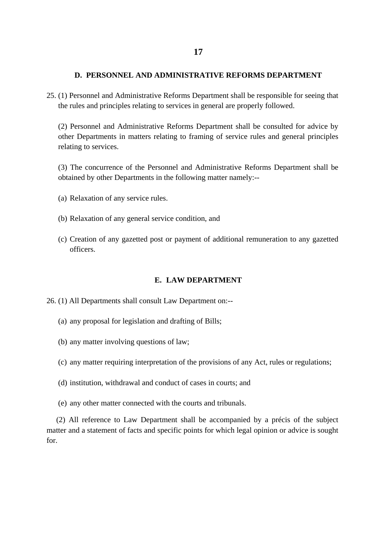#### **D. PERSONNEL AND ADMINISTRATIVE REFORMS DEPARTMENT**

25. (1) Personnel and Administrative Reforms Department shall be responsible for seeing that the rules and principles relating to services in general are properly followed.

(2) Personnel and Administrative Reforms Department shall be consulted for advice by other Departments in matters relating to framing of service rules and general principles relating to services.

(3) The concurrence of the Personnel and Administrative Reforms Department shall be obtained by other Departments in the following matter namely:--

- (a) Relaxation of any service rules.
- (b) Relaxation of any general service condition, and
- (c) Creation of any gazetted post or payment of additional remuneration to any gazetted officers.

#### **E. LAW DEPARTMENT**

- 26. (1) All Departments shall consult Law Department on:--
	- (a) any proposal for legislation and drafting of Bills;
	- (b) any matter involving questions of law;
	- (c) any matter requiring interpretation of the provisions of any Act, rules or regulations;
	- (d) institution, withdrawal and conduct of cases in courts; and
	- (e) any other matter connected with the courts and tribunals.

 (2) All reference to Law Department shall be accompanied by a précis of the subject matter and a statement of facts and specific points for which legal opinion or advice is sought for.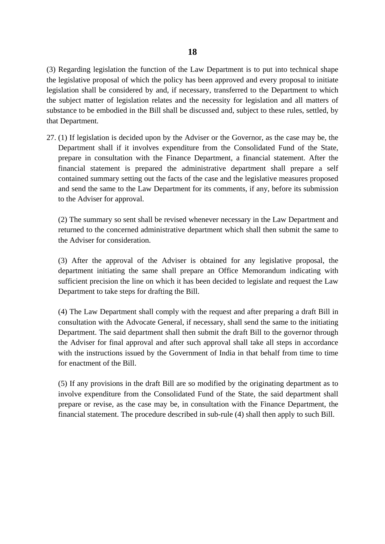(3) Regarding legislation the function of the Law Department is to put into technical shape the legislative proposal of which the policy has been approved and every proposal to initiate legislation shall be considered by and, if necessary, transferred to the Department to which the subject matter of legislation relates and the necessity for legislation and all matters of substance to be embodied in the Bill shall be discussed and, subject to these rules, settled, by that Department.

27. (1) If legislation is decided upon by the Adviser or the Governor, as the case may be, the Department shall if it involves expenditure from the Consolidated Fund of the State, prepare in consultation with the Finance Department, a financial statement. After the financial statement is prepared the administrative department shall prepare a self contained summary setting out the facts of the case and the legislative measures proposed and send the same to the Law Department for its comments, if any, before its submission to the Adviser for approval.

(2) The summary so sent shall be revised whenever necessary in the Law Department and returned to the concerned administrative department which shall then submit the same to the Adviser for consideration.

(3) After the approval of the Adviser is obtained for any legislative proposal, the department initiating the same shall prepare an Office Memorandum indicating with sufficient precision the line on which it has been decided to legislate and request the Law Department to take steps for drafting the Bill.

(4) The Law Department shall comply with the request and after preparing a draft Bill in consultation with the Advocate General, if necessary, shall send the same to the initiating Department. The said department shall then submit the draft Bill to the governor through the Adviser for final approval and after such approval shall take all steps in accordance with the instructions issued by the Government of India in that behalf from time to time for enactment of the Bill.

(5) If any provisions in the draft Bill are so modified by the originating department as to involve expenditure from the Consolidated Fund of the State, the said department shall prepare or revise, as the case may be, in consultation with the Finance Department, the financial statement. The procedure described in sub-rule (4) shall then apply to such Bill.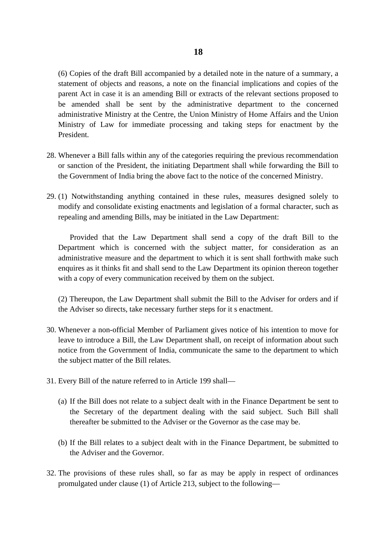(6) Copies of the draft Bill accompanied by a detailed note in the nature of a summary, a statement of objects and reasons, a note on the financial implications and copies of the parent Act in case it is an amending Bill or extracts of the relevant sections proposed to be amended shall be sent by the administrative department to the concerned administrative Ministry at the Centre, the Union Ministry of Home Affairs and the Union Ministry of Law for immediate processing and taking steps for enactment by the President.

- 28. Whenever a Bill falls within any of the categories requiring the previous recommendation or sanction of the President, the initiating Department shall while forwarding the Bill to the Government of India bring the above fact to the notice of the concerned Ministry.
- 29. (1) Notwithstanding anything contained in these rules, measures designed solely to modify and consolidate existing enactments and legislation of a formal character, such as repealing and amending Bills, may be initiated in the Law Department:

Provided that the Law Department shall send a copy of the draft Bill to the Department which is concerned with the subject matter, for consideration as an administrative measure and the department to which it is sent shall forthwith make such enquires as it thinks fit and shall send to the Law Department its opinion thereon together with a copy of every communication received by them on the subject.

(2) Thereupon, the Law Department shall submit the Bill to the Adviser for orders and if the Adviser so directs, take necessary further steps for it s enactment.

- 30. Whenever a non-official Member of Parliament gives notice of his intention to move for leave to introduce a Bill, the Law Department shall, on receipt of information about such notice from the Government of India, communicate the same to the department to which the subject matter of the Bill relates.
- 31. Every Bill of the nature referred to in Article 199 shall—
	- (a) If the Bill does not relate to a subject dealt with in the Finance Department be sent to the Secretary of the department dealing with the said subject. Such Bill shall thereafter be submitted to the Adviser or the Governor as the case may be.
	- (b) If the Bill relates to a subject dealt with in the Finance Department, be submitted to the Adviser and the Governor.
- 32. The provisions of these rules shall, so far as may be apply in respect of ordinances promulgated under clause (1) of Article 213, subject to the following—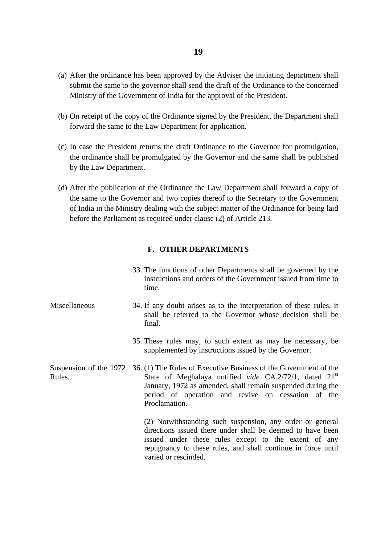- (a) After the ordinance has been approved by the Adviser the initiating department shall submit the same to the governor shall send the draft of the Ordinance to the concerned Ministry of the Government of India for the approval of the President.
- (b) On receipt of the copy of the Ordinance signed by the President, the Department shall forward the same to the Law Department for application.
- (c) In case the President returns the draft Ordinance to the Governor for promulgation, the ordinance shall be promulgated by the Governor and the same shall be published by the Law Department.
- (d) After the publication of the Ordinance the Law Department shall forward a copy of the same to the Governor and two copies thereof to the Secretary to the Government of India in the Ministry dealing with the subject matter of the Ordinance for being laid before the Parliament as required under clause (2) of Article 213.

#### **F. OTHER DEPARTMENTS**

- 33. The functions of other Departments shall be governed by the instructions and orders of the Government issued from time to time,
- **Miscellaneous** 34. If any doubt arises as to the interpretation of these rules, it shall be referred to the Governor whose decision shall be final.
	- 35. These rules may, to such extent as may be necessary, be supplemented by instructions issued by the Governor.
- Suspension of the 1972 Rules. 36. (1) The Rules of Executive Business of the Government of the State of Meghalaya notified *vide* CA.2/72/1, dated 21<sup>st</sup> January, 1972 as amended, shall remain suspended during the period of operation and revive on cessation of the Proclamation.

(2) Notwithstanding such suspension, any order or general directions issued there under shall be deemed to have been issued under these rules except to the extent of any repugnancy to these rules, and shall continue in force until varied or rescinded.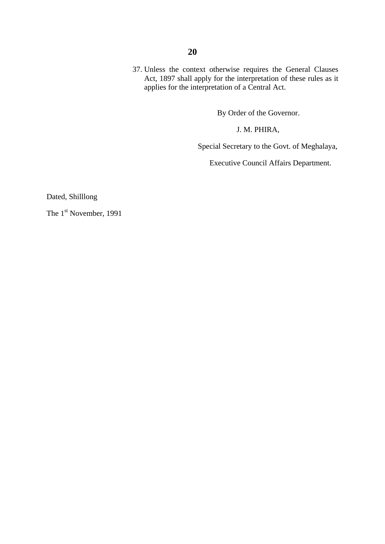37. Unless the context otherwise requires the General Clauses Act, 1897 shall apply for the interpretation of these rules as it applies for the interpretation of a Central Act.

By Order of the Governor.

J. M. PHIRA,

Special Secretary to the Govt. of Meghalaya,

Executive Council Affairs Department.

Dated, Shilllong

The 1<sup>st</sup> November, 1991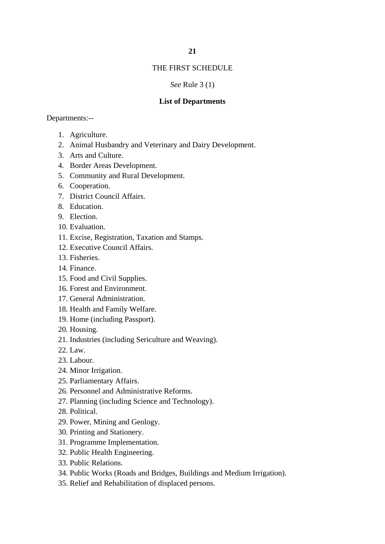#### THE FIRST SCHEDULE

#### *See* Rule 3 (1)

#### **List of Departments**

#### Departments:--

- 1. Agriculture.
- 2. Animal Husbandry and Veterinary and Dairy Development.
- 3. Arts and Culture.
- 4. Border Areas Development.
- 5. Community and Rural Development.
- 6. Cooperation.
- 7. District Council Affairs.
- 8. Education.
- 9. Election.
- 10. Evaluation.
- 11. Excise, Registration, Taxation and Stamps.
- 12. Executive Council Affairs.
- 13. Fisheries.
- 14. Finance.
- 15. Food and Civil Supplies.
- 16. Forest and Environment.
- 17. General Administration.
- 18. Health and Family Welfare.
- 19. Home (including Passport).
- 20. Housing.
- 21. Industries (including Sericulture and Weaving).
- 22. Law.
- 23. Labour.
- 24. Minor Irrigation.
- 25. Parliamentary Affairs.
- 26. Personnel and Administrative Reforms.
- 27. Planning (including Science and Technology).
- 28. Political.
- 29. Power, Mining and Geology.
- 30. Printing and Stationery.
- 31. Programme Implementation.
- 32. Public Health Engineering.
- 33. Public Relations.
- 34. Public Works (Roads and Bridges, Buildings and Medium Irrigation).
- 35. Relief and Rehabilitation of displaced persons.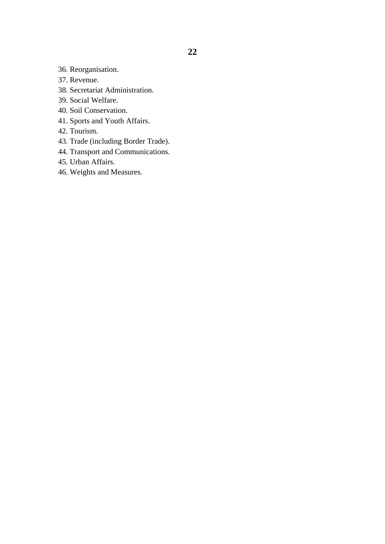36. Reorganisation.

- 37. Revenue.
- 38. Secretariat Administration.
- 39. Social Welfare.
- 40. Soil Conservation.
- 41. Sports and Youth Affairs.
- 42. Tourism.
- 43. Trade (including Border Trade).
- 44. Transport and Communications.
- 45. Urban Affairs.
- 46. Weights and Measures.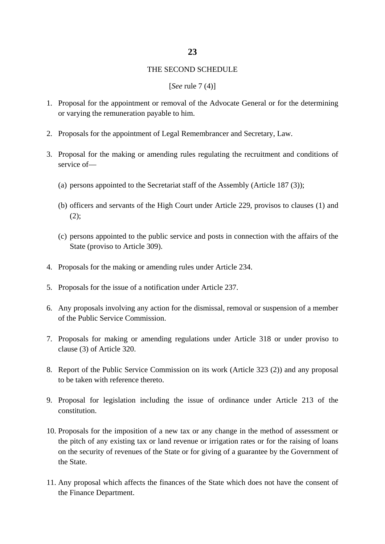#### **23**

#### THE SECOND SCHEDULE

#### [*See* rule 7 (4)]

- 1. Proposal for the appointment or removal of the Advocate General or for the determining or varying the remuneration payable to him.
- 2. Proposals for the appointment of Legal Remembrancer and Secretary, Law.
- 3. Proposal for the making or amending rules regulating the recruitment and conditions of service of—
	- (a) persons appointed to the Secretariat staff of the Assembly (Article 187 (3));
	- (b) officers and servants of the High Court under Article 229, provisos to clauses (1) and  $(2)$ ;
	- (c) persons appointed to the public service and posts in connection with the affairs of the State (proviso to Article 309).
- 4. Proposals for the making or amending rules under Article 234.
- 5. Proposals for the issue of a notification under Article 237.
- 6. Any proposals involving any action for the dismissal, removal or suspension of a member of the Public Service Commission.
- 7. Proposals for making or amending regulations under Article 318 or under proviso to clause (3) of Article 320.
- 8. Report of the Public Service Commission on its work (Article 323 (2)) and any proposal to be taken with reference thereto.
- 9. Proposal for legislation including the issue of ordinance under Article 213 of the constitution.
- 10. Proposals for the imposition of a new tax or any change in the method of assessment or the pitch of any existing tax or land revenue or irrigation rates or for the raising of loans on the security of revenues of the State or for giving of a guarantee by the Government of the State.
- 11. Any proposal which affects the finances of the State which does not have the consent of the Finance Department.